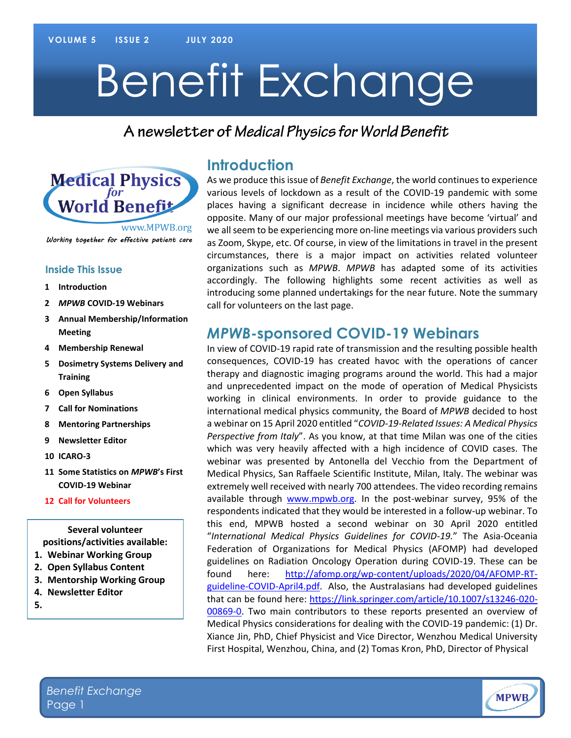# Benefit Exchange

#### A newsletter of Medical Physics for World Benefit



Working together for effective patient care

#### **Inside This Issue**

- **1 Introduction**
- **2** *MPWB* **COVID-19 Webinars**
- **3 Annual Membership/Information Meeting**
- **4 Membership Renewal**
- **5 Dosimetry Systems Delivery and Training**
- **6 Open Syllabus**
- **7 Call for Nominations**
- **8 Mentoring Partnerships**
- **9 Newsletter Editor**
- **10 ICARO-3**
- **11 Some Statistics on** *MPWB***'s First COVID-19 Webinar**
- **12 Call for Volunteers**

**Several volunteer positions/activities available:**

- **1. Webinar Working Group**
- **2. Open Syllabus Content**
- **3. Mentorship Working Group**
- **4. Newsletter Editor**
- **5.**

#### **Introduction**

As we produce this issue of *Benefit Exchange*, the world continues to experience various levels of lockdown as a result of the COVID-19 pandemic with some places having a significant decrease in incidence while others having the opposite. Many of our major professional meetings have become 'virtual' and we all seem to be experiencing more on-line meetings via various providers such as Zoom, Skype, etc. Of course, in view of the limitations in travel in the present circumstances, there is a major impact on activities related volunteer organizations such as *MPWB*. *MPWB* has adapted some of its activities accordingly. The following highlights some recent activities as well as introducing some planned undertakings for the near future. Note the summary call for volunteers on the last page.

#### *MPWB***-sponsored COVID-19 Webinars**

In view of COVID-19 rapid rate of transmission and the resulting possible health consequences, COVID-19 has created havoc with the operations of cancer therapy and diagnostic imaging programs around the world. This had a major and unprecedented impact on the mode of operation of Medical Physicists working in clinical environments. In order to provide guidance to the international medical physics community, the Board of *MPWB* decided to host a webinar on 15 April 2020 entitled "*COVID-19-Related Issues: A Medical Physics Perspective from Italy*". As you know, at that time Milan was one of the cities which was very heavily affected with a high incidence of COVID cases. The webinar was presented by Antonella del Vecchio from the Department of Medical Physics, San Raffaele Scientific Institute, Milan, Italy. The webinar was extremely well received with nearly 700 attendees. The video recording remains available through [www.mpwb.org.](http://www.mpwb.org/) In the post-webinar survey, 95% of the respondents indicated that they would be interested in a follow-up webinar. To this end, MPWB hosted a second webinar on 30 April 2020 entitled "*International Medical Physics Guidelines for COVID-19.*" The Asia-Oceania Federation of Organizations for Medical Physics (AFOMP) had developed guidelines on Radiation Oncology Operation during COVID-19. These can be found here: [http://afomp.org/wp-content/uploads/2020/04/AFOMP-RT](http://afomp.org/wp-content/uploads/2020/04/AFOMP-RT-guideline-COVID-April4.pdf)[guideline-COVID-April4.pdf.](http://afomp.org/wp-content/uploads/2020/04/AFOMP-RT-guideline-COVID-April4.pdf) Also, the Australasians had developed guidelines that can be found here: [https://link.springer.com/article/10.1007/s13246-020-](https://link.springer.com/article/10.1007/s13246-020-00869-0) [00869-0.](https://link.springer.com/article/10.1007/s13246-020-00869-0) Two main contributors to these reports presented an overview of Medical Physics considerations for dealing with the COVID-19 pandemic: (1) Dr. Xiance Jin, PhD, Chief Physicist and Vice Director, Wenzhou Medical University First Hospital, Wenzhou, China, and (2) Tomas Kron, PhD, Director of Physical

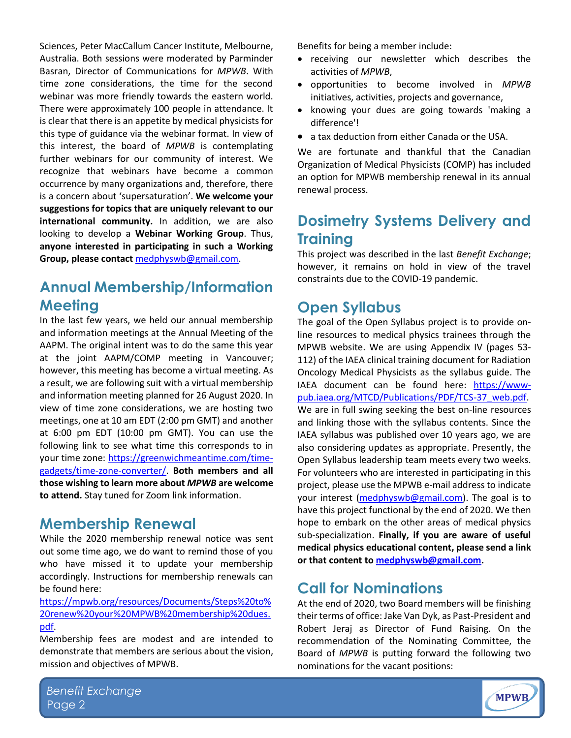Sciences, Peter MacCallum Cancer Institute, Melbourne, Australia. Both sessions were moderated by Parminder Basran, Director of Communications for *MPWB*. With time zone considerations, the time for the second webinar was more friendly towards the eastern world. There were approximately 100 people in attendance. It is clear that there is an appetite by medical physicists for this type of guidance via the webinar format. In view of this interest, the board of *MPWB* is contemplating further webinars for our community of interest. We recognize that webinars have become a common occurrence by many organizations and, therefore, there is a concern about 'supersaturation'. **We welcome your suggestions for topics that are uniquely relevant to our international community.** In addition, we are also looking to develop a **Webinar Working Group**. Thus, **anyone interested in participating in such a Working Group, please contact** [medphyswb@gmail.com.](mailto:medphyswb@gmail.com)

## **Annual Membership/Information Meeting**

In the last few years, we held our annual membership and information meetings at the Annual Meeting of the AAPM. The original intent was to do the same this year at the joint AAPM/COMP meeting in Vancouver; however, this meeting has become a virtual meeting. As a result, we are following suit with a virtual membership and information meeting planned for 26 August 2020. In view of time zone considerations, we are hosting two meetings, one at 10 am EDT (2:00 pm GMT) and another at 6:00 pm EDT (10:00 pm GMT). You can use the following link to see what time this corresponds to in your time zone: [https://greenwichmeantime.com/time](https://greenwichmeantime.com/time-gadgets/time-zone-converter/)[gadgets/time-zone-converter/.](https://greenwichmeantime.com/time-gadgets/time-zone-converter/) **Both members and all those wishing to learn more about** *MPWB* **are welcome to attend.** Stay tuned for Zoom link information.

#### **Membership Renewal**

While the 2020 membership renewal notice was sent out some time ago, we do want to remind those of you who have missed it to update your membership accordingly. Instructions for membership renewals can be found here:

[https://mpwb.org/resources/Documents/Steps%20to%](https://mpwb.org/resources/Documents/Steps%20to%20renew%20your%20MPWB%20membership%20dues.pdf) [20renew%20your%20MPWB%20membership%20dues.](https://mpwb.org/resources/Documents/Steps%20to%20renew%20your%20MPWB%20membership%20dues.pdf) [pdf.](https://mpwb.org/resources/Documents/Steps%20to%20renew%20your%20MPWB%20membership%20dues.pdf)

Membership fees are modest and are intended to demonstrate that members are serious about the vision, mission and objectives of MPWB.

Benefits for being a member include:

- receiving our newsletter which describes the activities of *MPWB*,
- opportunities to become involved in *MPWB* initiatives, activities, projects and governance,
- knowing your dues are going towards 'making a difference'!
- a tax deduction from either Canada or the USA.

We are fortunate and thankful that the Canadian Organization of Medical Physicists (COMP) has included an option for MPWB membership renewal in its annual renewal process.

# **Dosimetry Systems Delivery and Training**

This project was described in the last *Benefit Exchange*; however, it remains on hold in view of the travel constraints due to the COVID-19 pandemic.

#### **Open Syllabus**

The goal of the Open Syllabus project is to provide online resources to medical physics trainees through the MPWB website. We are using Appendix IV (pages 53- 112) of the IAEA clinical training document for Radiation Oncology Medical Physicists as the syllabus guide. The IAEA document can be found here: [https://www](https://www-pub.iaea.org/MTCD/Publications/PDF/TCS-37_web.pdf)[pub.iaea.org/MTCD/Publications/PDF/TCS-37\\_web.pdf.](https://www-pub.iaea.org/MTCD/Publications/PDF/TCS-37_web.pdf) We are in full swing seeking the best on-line resources and linking those with the syllabus contents. Since the IAEA syllabus was published over 10 years ago, we are also considering updates as appropriate. Presently, the Open Syllabus leadership team meets every two weeks. For volunteers who are interested in participating in this project, please use the MPWB e-mail address to indicate your interest [\(medphyswb@gmail.com\)](mailto:medphyswb@gmail.com). The goal is to have this project functional by the end of 2020. We then hope to embark on the other areas of medical physics sub-specialization. **Finally, if you are aware of useful medical physics educational content, please send a link or that content to [medphyswb@gmail.com.](http://medphyswb@gmail.com)**

#### **Call for Nominations**

At the end of 2020, two Board members will be finishing their terms of office: Jake Van Dyk, as Past-President and Robert Jeraj as Director of Fund Raising. On the recommendation of the Nominating Committee, the Board of *MPWB* is putting forward the following two nominations for the vacant positions:



*Benefit Exchange* Page 2